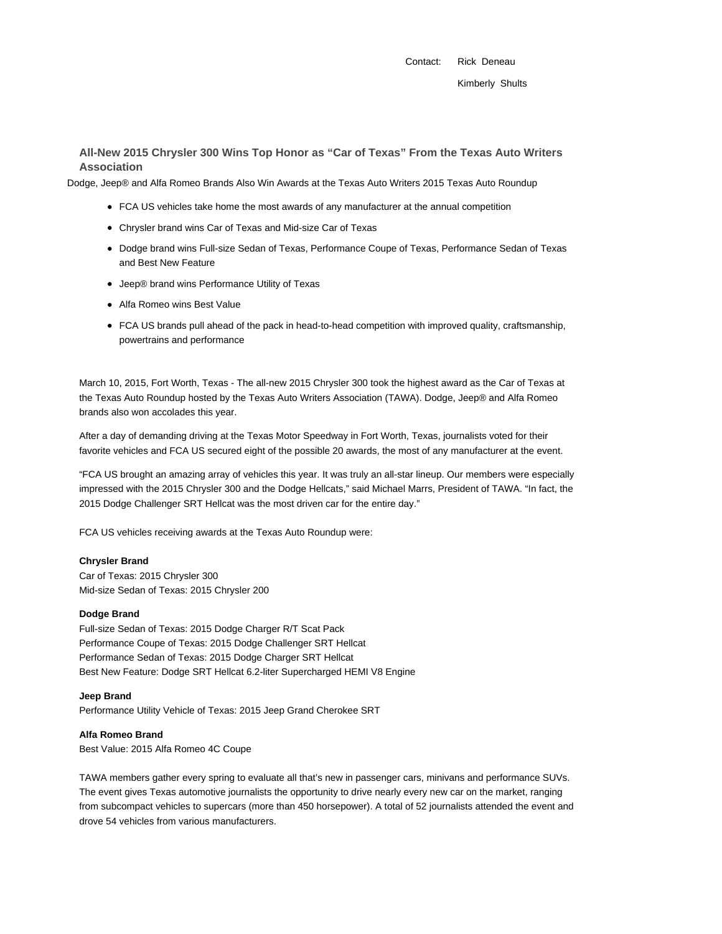Contact: Rick Deneau

# **All-New 2015 Chrysler 300 Wins Top Honor as "Car of Texas" From the Texas Auto Writers Association**

Dodge, Jeep® and Alfa Romeo Brands Also Win Awards at the Texas Auto Writers 2015 Texas Auto Roundup

- FCA US vehicles take home the most awards of any manufacturer at the annual competition
- Chrysler brand wins Car of Texas and Mid-size Car of Texas
- Dodge brand wins Full-size Sedan of Texas, Performance Coupe of Texas, Performance Sedan of Texas and Best New Feature
- Jeep® brand wins Performance Utility of Texas
- Alfa Romeo wins Best Value
- FCA US brands pull ahead of the pack in head-to-head competition with improved quality, craftsmanship, powertrains and performance

March 10, 2015, Fort Worth, Texas - The all-new 2015 Chrysler 300 took the highest award as the Car of Texas at the Texas Auto Roundup hosted by the Texas Auto Writers Association (TAWA). Dodge, Jeep® and Alfa Romeo brands also won accolades this year.

After a day of demanding driving at the Texas Motor Speedway in Fort Worth, Texas, journalists voted for their favorite vehicles and FCA US secured eight of the possible 20 awards, the most of any manufacturer at the event.

"FCA US brought an amazing array of vehicles this year. It was truly an all-star lineup. Our members were especially impressed with the 2015 Chrysler 300 and the Dodge Hellcats," said Michael Marrs, President of TAWA. "In fact, the 2015 Dodge Challenger SRT Hellcat was the most driven car for the entire day."

FCA US vehicles receiving awards at the Texas Auto Roundup were:

### **Chrysler Brand**

Car of Texas: 2015 Chrysler 300 Mid-size Sedan of Texas: 2015 Chrysler 200

#### **Dodge Brand**

Full-size Sedan of Texas: 2015 Dodge Charger R/T Scat Pack Performance Coupe of Texas: 2015 Dodge Challenger SRT Hellcat Performance Sedan of Texas: 2015 Dodge Charger SRT Hellcat Best New Feature: Dodge SRT Hellcat 6.2-liter Supercharged HEMI V8 Engine

#### **Jeep Brand**

Performance Utility Vehicle of Texas: 2015 Jeep Grand Cherokee SRT

#### **Alfa Romeo Brand**

Best Value: 2015 Alfa Romeo 4C Coupe

TAWA members gather every spring to evaluate all that's new in passenger cars, minivans and performance SUVs. The event gives Texas automotive journalists the opportunity to drive nearly every new car on the market, ranging from subcompact vehicles to supercars (more than 450 horsepower). A total of 52 journalists attended the event and drove 54 vehicles from various manufacturers.